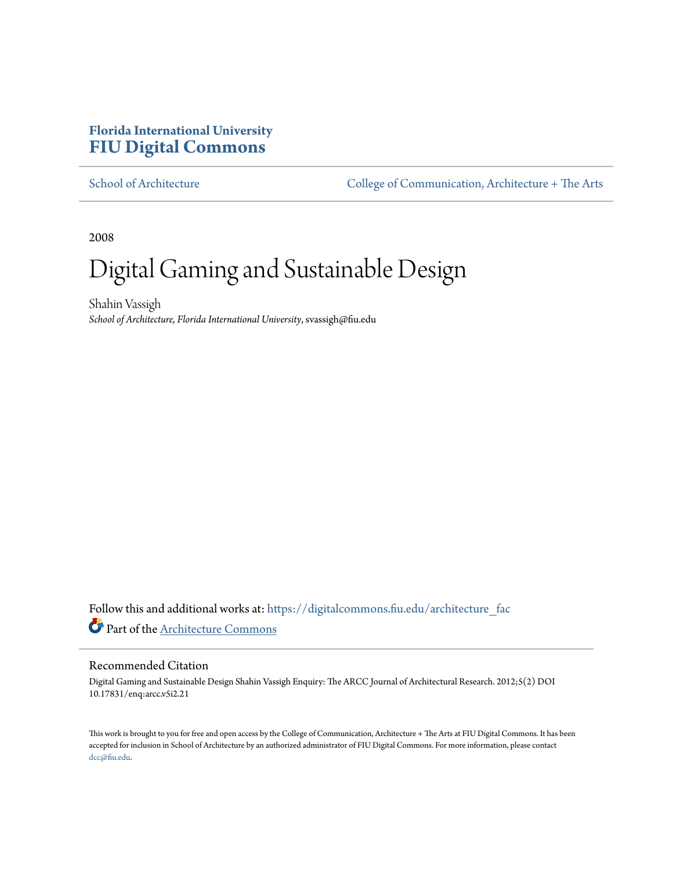## **Florida International University [FIU Digital Commons](https://digitalcommons.fiu.edu?utm_source=digitalcommons.fiu.edu%2Farchitecture_fac%2F2&utm_medium=PDF&utm_campaign=PDFCoverPages)**

[School of Architecture](https://digitalcommons.fiu.edu/architecture_fac?utm_source=digitalcommons.fiu.edu%2Farchitecture_fac%2F2&utm_medium=PDF&utm_campaign=PDFCoverPages) [College of Communication, Architecture + The Arts](https://digitalcommons.fiu.edu/carta?utm_source=digitalcommons.fiu.edu%2Farchitecture_fac%2F2&utm_medium=PDF&utm_campaign=PDFCoverPages)

2008

# Digital Gaming and Sustainable Design

Shahin Vassigh *School of Architecture, Florida International University*, svassigh@fiu.edu

Follow this and additional works at: [https://digitalcommons.fiu.edu/architecture\\_fac](https://digitalcommons.fiu.edu/architecture_fac?utm_source=digitalcommons.fiu.edu%2Farchitecture_fac%2F2&utm_medium=PDF&utm_campaign=PDFCoverPages) Part of the [Architecture Commons](http://network.bepress.com/hgg/discipline/773?utm_source=digitalcommons.fiu.edu%2Farchitecture_fac%2F2&utm_medium=PDF&utm_campaign=PDFCoverPages)

#### Recommended Citation

Digital Gaming and Sustainable Design Shahin Vassigh Enquiry: The ARCC Journal of Architectural Research. 2012;5(2) DOI 10.17831/enq:arcc.v5i2.21

This work is brought to you for free and open access by the College of Communication, Architecture + The Arts at FIU Digital Commons. It has been accepted for inclusion in School of Architecture by an authorized administrator of FIU Digital Commons. For more information, please contact [dcc@fiu.edu.](mailto:dcc@fiu.edu)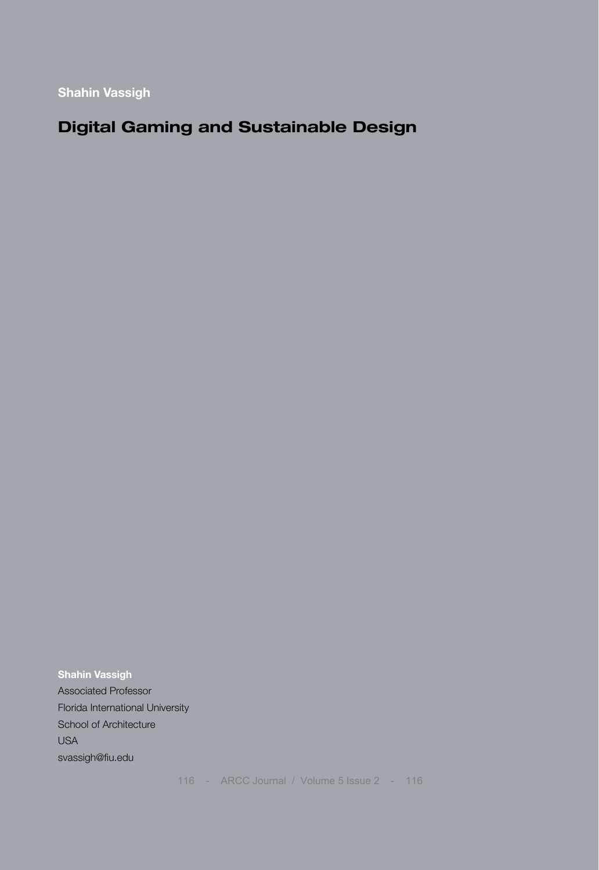**Shahin Vassigh** 

## **Digital Gaming and Sustainable Design**

**Shahin Vassigh**  Associated Professor Florida International University School of Architecture USA svassigh@fiu.edu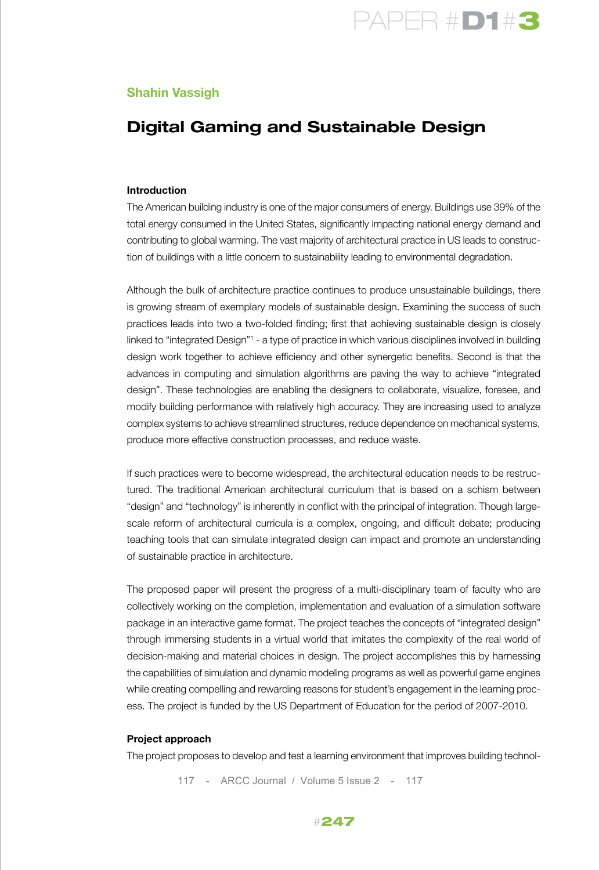

#### **Shahin Vassigh**

### **Digital Gaming and Sustainable Design**

#### **Introduction**

The American building industry is one of the major consumers of energy. Buildings use 39% of the total energy consumed in the United States, significantly impacting national energy demand and contributing to global warming. The vast majority of architectural practice in US leads to construction of buildings with a little concern to sustainability leading to environmental degradation.

Although the bulk of architecture practice continues to produce unsustainable buildings, there is growing stream of exemplary models of sustainable design. Examining the success of such practices leads into two a two-folded finding; first that achieving sustainable design is closely linked to "integrated Design"1 - a type of practice in which various disciplines involved in building design work together to achieve efficiency and other synergetic benefits. Second is that the advances in computing and simulation algorithms are paving the way to achieve "integrated design". These technologies are enabling the designers to collaborate, visualize, foresee, and modify building performance with relatively high accuracy. They are increasing used to analyze complex systems to achieve streamlined structures, reduce dependence on mechanical systems, produce more effective construction processes, and reduce waste.

If such practices were to become widespread, the architectural education needs to be restructured. The traditional American architectural curriculum that is based on a schism between "design" and "technology" is inherently in conflict with the principal of integration. Though largescale reform of architectural curricula is a complex, ongoing, and difficult debate; producing teaching tools that can simulate integrated design can impact and promote an understanding of sustainable practice in architecture.

The proposed paper will present the progress of a multi-disciplinary team of faculty who are collectively working on the completion, implementation and evaluation of a simulation software package in an interactive game format. The project teaches the concepts of "integrated design" through immersing students in a virtual world that imitates the complexity of the real world of decision-making and material choices in design. The project accomplishes this by harnessing the capabilities of simulation and dynamic modeling programs as well as powerful game engines while creating compelling and rewarding reasons for student's engagement in the learning process. The project is funded by the US Department of Education for the period of 2007-2010.

#### **Project approach**

The project proposes to develop and test a learning environment that improves building technol-

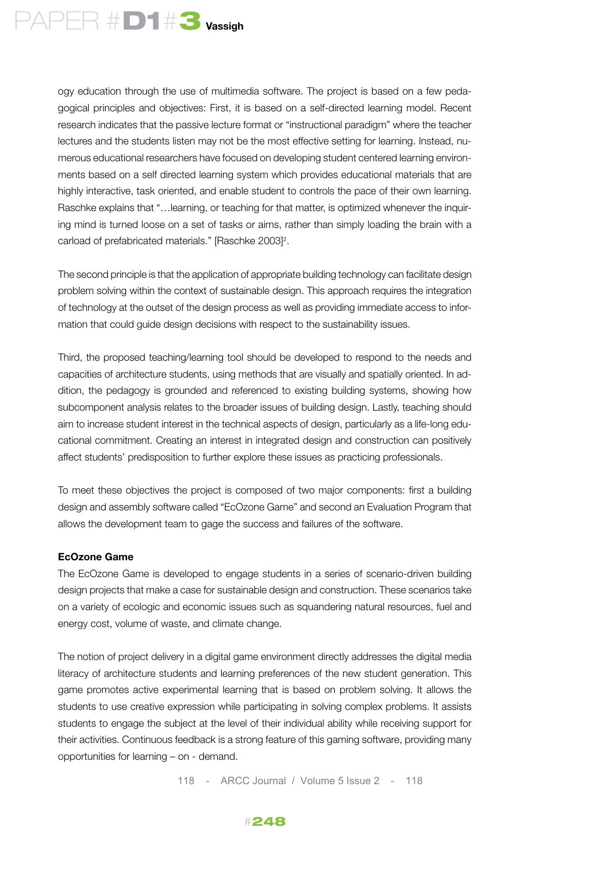

ogy education through the use of multimedia software. The project is based on a few pedagogical principles and objectives: First, it is based on a self-directed learning model. Recent research indicates that the passive lecture format or "instructional paradigm" where the teacher lectures and the students listen may not be the most effective setting for learning. Instead, numerous educational researchers have focused on developing student centered learning environments based on a self directed learning system which provides educational materials that are highly interactive, task oriented, and enable student to controls the pace of their own learning. Raschke explains that "…learning, or teaching for that matter, is optimized whenever the inquiring mind is turned loose on a set of tasks or aims, rather than simply loading the brain with a carload of prefabricated materials." [Raschke 2003]<sup>2</sup>.

The second principle is that the application of appropriate building technology can facilitate design problem solving within the context of sustainable design. This approach requires the integration of technology at the outset of the design process as well as providing immediate access to information that could guide design decisions with respect to the sustainability issues.

Third, the proposed teaching/learning tool should be developed to respond to the needs and capacities of architecture students, using methods that are visually and spatially oriented. In addition, the pedagogy is grounded and referenced to existing building systems, showing how subcomponent analysis relates to the broader issues of building design. Lastly, teaching should aim to increase student interest in the technical aspects of design, particularly as a life-long educational commitment. Creating an interest in integrated design and construction can positively affect students' predisposition to further explore these issues as practicing professionals.

To meet these objectives the project is composed of two major components: first a building design and assembly software called "EcOzone Game" and second an Evaluation Program that allows the development team to gage the success and failures of the software.

#### **EcOzone Game**

The EcOzone Game is developed to engage students in a series of scenario-driven building design projects that make a case for sustainable design and construction. These scenarios take on a variety of ecologic and economic issues such as squandering natural resources, fuel and energy cost, volume of waste, and climate change.

The notion of project delivery in a digital game environment directly addresses the digital media literacy of architecture students and learning preferences of the new student generation. This game promotes active experimental learning that is based on problem solving. It allows the students to use creative expression while participating in solving complex problems. It assists students to engage the subject at the level of their individual ability while receiving support for their activities. Continuous feedback is a strong feature of this gaming software, providing many opportunities for learning – on - demand.

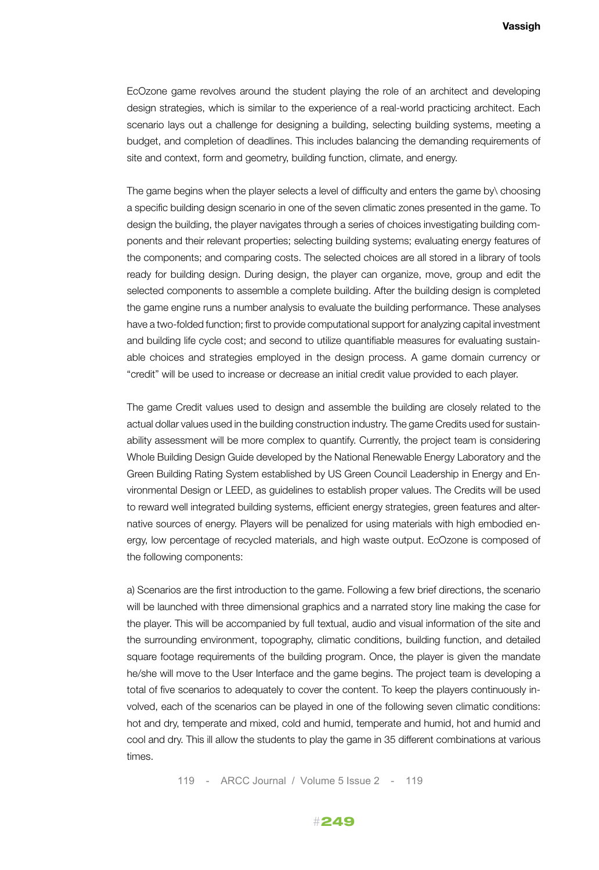EcOzone game revolves around the student playing the role of an architect and developing design strategies, which is similar to the experience of a real-world practicing architect. Each scenario lays out a challenge for designing a building, selecting building systems, meeting a budget, and completion of deadlines. This includes balancing the demanding requirements of site and context, form and geometry, building function, climate, and energy.

The game begins when the player selects a level of difficulty and enters the game by\ choosing a specific building design scenario in one of the seven climatic zones presented in the game. To design the building, the player navigates through a series of choices investigating building components and their relevant properties; selecting building systems; evaluating energy features of the components; and comparing costs. The selected choices are all stored in a library of tools ready for building design. During design, the player can organize, move, group and edit the selected components to assemble a complete building. After the building design is completed the game engine runs a number analysis to evaluate the building performance. These analyses have a two-folded function; first to provide computational support for analyzing capital investment and building life cycle cost; and second to utilize quantifiable measures for evaluating sustainable choices and strategies employed in the design process. A game domain currency or "credit" will be used to increase or decrease an initial credit value provided to each player.

The game Credit values used to design and assemble the building are closely related to the actual dollar values used in the building construction industry. The game Credits used for sustainability assessment will be more complex to quantify. Currently, the project team is considering Whole Building Design Guide developed by the National Renewable Energy Laboratory and the Green Building Rating System established by US Green Council Leadership in Energy and Environmental Design or LEED, as guidelines to establish proper values. The Credits will be used to reward well integrated building systems, efficient energy strategies, green features and alternative sources of energy. Players will be penalized for using materials with high embodied energy, low percentage of recycled materials, and high waste output. EcOzone is composed of the following components:

a) Scenarios are the first introduction to the game. Following a few brief directions, the scenario will be launched with three dimensional graphics and a narrated story line making the case for the player. This will be accompanied by full textual, audio and visual information of the site and the surrounding environment, topography, climatic conditions, building function, and detailed square footage requirements of the building program. Once, the player is given the mandate he/she will move to the User Interface and the game begins. The project team is developing a total of five scenarios to adequately to cover the content. To keep the players continuously involved, each of the scenarios can be played in one of the following seven climatic conditions: hot and dry, temperate and mixed, cold and humid, temperate and humid, hot and humid and cool and dry. This ill allow the students to play the game in 35 different combinations at various times.

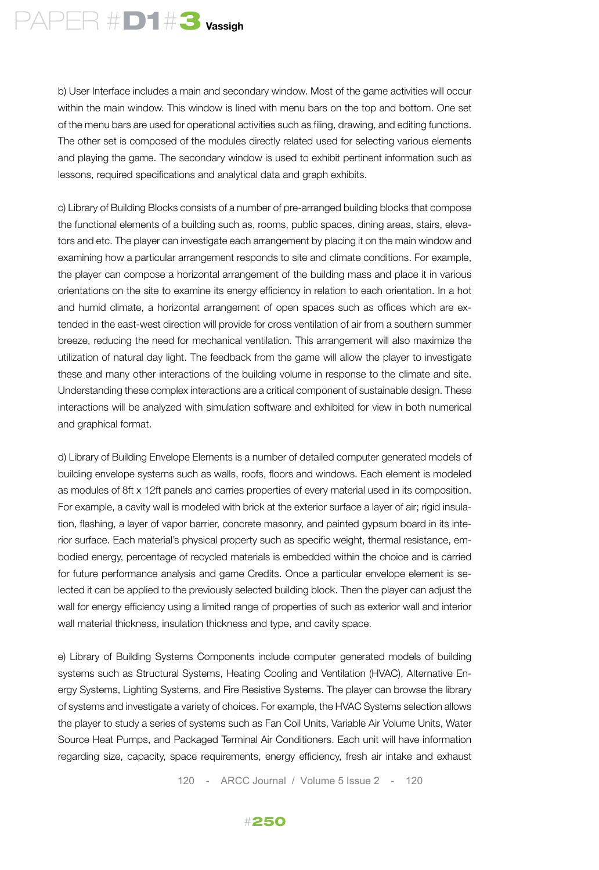

b) User Interface includes a main and secondary window. Most of the game activities will occur within the main window. This window is lined with menu bars on the top and bottom. One set of the menu bars are used for operational activities such as filing, drawing, and editing functions. The other set is composed of the modules directly related used for selecting various elements and playing the game. The secondary window is used to exhibit pertinent information such as lessons, required specifications and analytical data and graph exhibits.

c) Library of Building Blocks consists of a number of pre-arranged building blocks that compose the functional elements of a building such as, rooms, public spaces, dining areas, stairs, elevators and etc. The player can investigate each arrangement by placing it on the main window and examining how a particular arrangement responds to site and climate conditions. For example, the player can compose a horizontal arrangement of the building mass and place it in various orientations on the site to examine its energy efficiency in relation to each orientation. In a hot and humid climate, a horizontal arrangement of open spaces such as offices which are extended in the east-west direction will provide for cross ventilation of air from a southern summer breeze, reducing the need for mechanical ventilation. This arrangement will also maximize the utilization of natural day light. The feedback from the game will allow the player to investigate these and many other interactions of the building volume in response to the climate and site. Understanding these complex interactions are a critical component of sustainable design. These interactions will be analyzed with simulation software and exhibited for view in both numerical and graphical format.

d) Library of Building Envelope Elements is a number of detailed computer generated models of building envelope systems such as walls, roofs, floors and windows. Each element is modeled as modules of 8ft x 12ft panels and carries properties of every material used in its composition. For example, a cavity wall is modeled with brick at the exterior surface a layer of air; rigid insulation, flashing, a layer of vapor barrier, concrete masonry, and painted gypsum board in its interior surface. Each material's physical property such as specific weight, thermal resistance, embodied energy, percentage of recycled materials is embedded within the choice and is carried for future performance analysis and game Credits. Once a particular envelope element is selected it can be applied to the previously selected building block. Then the player can adjust the wall for energy efficiency using a limited range of properties of such as exterior wall and interior wall material thickness, insulation thickness and type, and cavity space.

e) Library of Building Systems Components include computer generated models of building systems such as Structural Systems, Heating Cooling and Ventilation (HVAC), Alternative Energy Systems, Lighting Systems, and Fire Resistive Systems. The player can browse the library of systems and investigate a variety of choices. For example, the HVAC Systems selection allows the player to study a series of systems such as Fan Coil Units, Variable Air Volume Units, Water Source Heat Pumps, and Packaged Terminal Air Conditioners. Each unit will have information regarding size, capacity, space requirements, energy efficiency, fresh air intake and exhaust

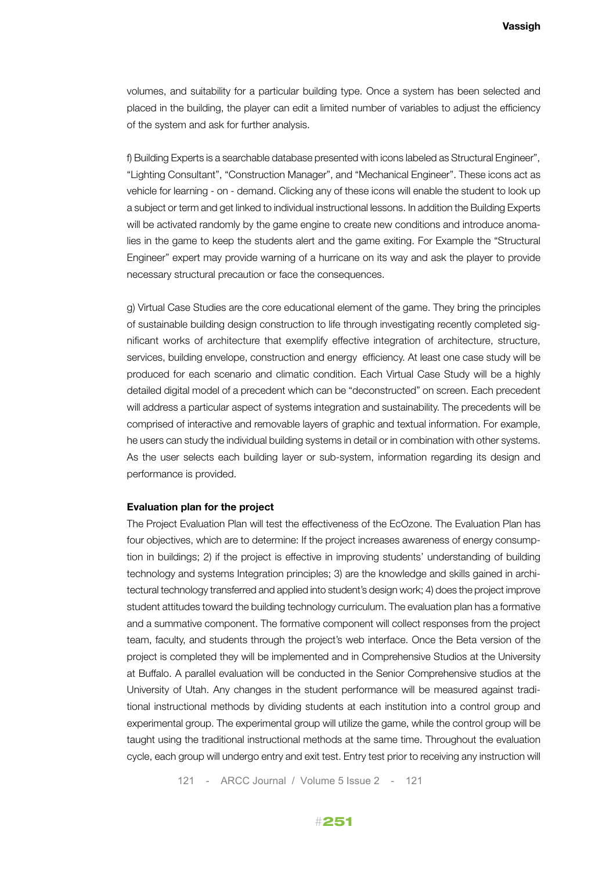volumes, and suitability for a particular building type. Once a system has been selected and placed in the building, the player can edit a limited number of variables to adjust the efficiency of the system and ask for further analysis.

f) Building Experts is a searchable database presented with icons labeled as Structural Engineer", "Lighting Consultant", "Construction Manager", and "Mechanical Engineer". These icons act as vehicle for learning - on - demand. Clicking any of these icons will enable the student to look up a subject or term and get linked to individual instructional lessons. In addition the Building Experts will be activated randomly by the game engine to create new conditions and introduce anomalies in the game to keep the students alert and the game exiting. For Example the "Structural Engineer" expert may provide warning of a hurricane on its way and ask the player to provide necessary structural precaution or face the consequences.

g) Virtual Case Studies are the core educational element of the game. They bring the principles of sustainable building design construction to life through investigating recently completed significant works of architecture that exemplify effective integration of architecture, structure, services, building envelope, construction and energy efficiency. At least one case study will be produced for each scenario and climatic condition. Each Virtual Case Study will be a highly detailed digital model of a precedent which can be "deconstructed" on screen. Each precedent will address a particular aspect of systems integration and sustainability. The precedents will be comprised of interactive and removable layers of graphic and textual information. For example, he users can study the individual building systems in detail or in combination with other systems. As the user selects each building layer or sub-system, information regarding its design and performance is provided.

#### **Evaluation plan for the project**

The Project Evaluation Plan will test the effectiveness of the EcOzone. The Evaluation Plan has four objectives, which are to determine: If the project increases awareness of energy consumption in buildings; 2) if the project is effective in improving students' understanding of building technology and systems Integration principles; 3) are the knowledge and skills gained in architectural technology transferred and applied into student's design work; 4) does the project improve student attitudes toward the building technology curriculum. The evaluation plan has a formative and a summative component. The formative component will collect responses from the project team, faculty, and students through the project's web interface. Once the Beta version of the project is completed they will be implemented and in Comprehensive Studios at the University at Buffalo. A parallel evaluation will be conducted in the Senior Comprehensive studios at the University of Utah. Any changes in the student performance will be measured against traditional instructional methods by dividing students at each institution into a control group and experimental group. The experimental group will utilize the game, while the control group will be taught using the traditional instructional methods at the same time. Throughout the evaluation cycle, each group will undergo entry and exit test. Entry test prior to receiving any instruction will

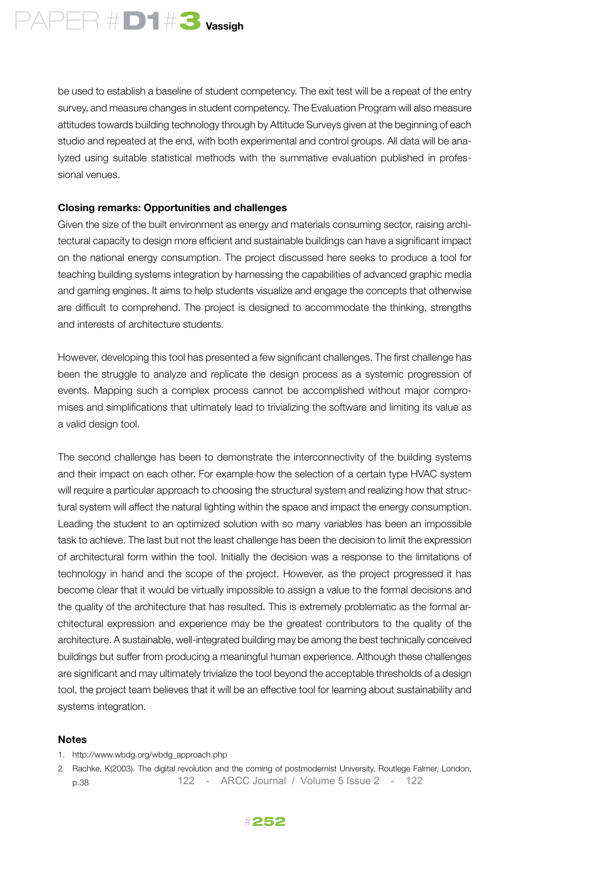

be used to establish a baseline of student competency. The exit test will be a repeat of the entry survey, and measure changes in student competency. The Evaluation Program will also measure attitudes towards building technology through by Attitude Surveys given at the beginning of each studio and repeated at the end, with both experimental and control groups. All data will be analyzed using suitable statistical methods with the summative evaluation published in professional venues.

#### **Closing remarks: Opportunities and challenges**

Given the size of the built environment as energy and materials consuming sector, raising architectural capacity to design more efficient and sustainable buildings can have a significant impact on the national energy consumption. The project discussed here seeks to produce a tool for teaching building systems integration by harnessing the capabilities of advanced graphic media and gaming engines. It aims to help students visualize and engage the concepts that otherwise are difficult to comprehend. The project is designed to accommodate the thinking, strengths and interests of architecture students.

However, developing this tool has presented a few significant challenges. The first challenge has been the struggle to analyze and replicate the design process as a systemic progression of events. Mapping such a complex process cannot be accomplished without major compromises and simplifications that ultimately lead to trivializing the software and limiting its value as a valid design tool.

The second challenge has been to demonstrate the interconnectivity of the building systems and their impact on each other. For example how the selection of a certain type HVAC system will require a particular approach to choosing the structural system and realizing how that structural system will affect the natural lighting within the space and impact the energy consumption. Leading the student to an optimized solution with so many variables has been an impossible task to achieve. The last but not the least challenge has been the decision to limit the expression of architectural form within the tool. Initially the decision was a response to the limitations of technology in hand and the scope of the project. However, as the project progressed it has become clear that it would be virtually impossible to assign a value to the formal decisions and the quality of the architecture that has resulted. This is extremely problematic as the formal architectural expression and experience may be the greatest contributors to the quality of the architecture. A sustainable, well-integrated building may be among the best technically conceived buildings but suffer from producing a meaningful human experience. Although these challenges are significant and may ultimately trivialize the tool beyond the acceptable thresholds of a design tool, the project team believes that it will be an effective tool for learning about sustainability and systems integration.

#### **Notes**

- 1. http://www.wbdg.org/wbdg\_approach.php
- 2 Rachke, K(2003). The digital revolution and the coming of postmodernist University, Routlege Falmer, London, p.38 122 - ARCC Journal / Volume 5 Issue 2 - 122